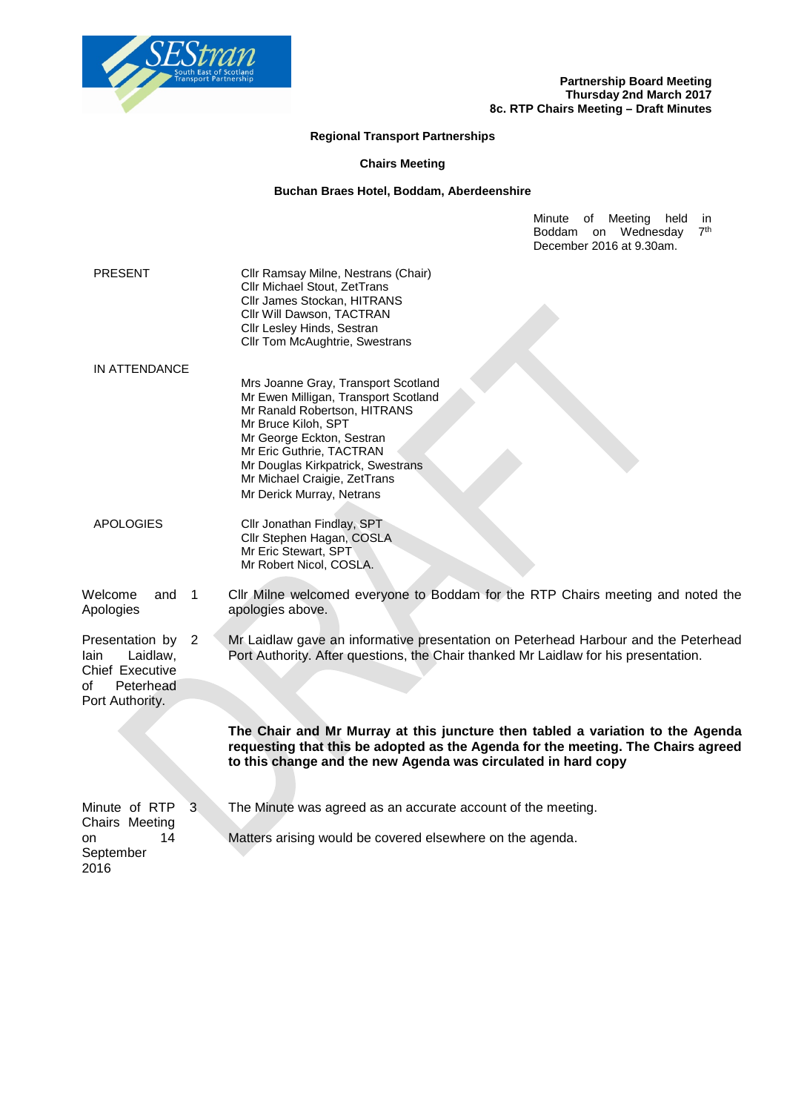

## **Regional Transport Partnerships**

## **Chairs Meeting**

## **Buchan Braes Hotel, Boddam, Aberdeenshire**

Minute of Meeting held in Boddam on Wednesday 7<sup>th</sup> December 2016 at 9.30am.

| <b>PRESENT</b>                                                                                    | Cllr Ramsay Milne, Nestrans (Chair)<br>Cllr Michael Stout, ZetTrans<br>Cllr James Stockan, HITRANS<br>Cllr Will Dawson, TACTRAN<br>Cllr Lesley Hinds, Sestran<br>Cllr Tom McAughtrie, Swestrans                                                                                               |
|---------------------------------------------------------------------------------------------------|-----------------------------------------------------------------------------------------------------------------------------------------------------------------------------------------------------------------------------------------------------------------------------------------------|
| <b>IN ATTENDANCE</b>                                                                              | Mrs Joanne Gray, Transport Scotland<br>Mr Ewen Milligan, Transport Scotland<br>Mr Ranald Robertson, HITRANS<br>Mr Bruce Kiloh, SPT<br>Mr George Eckton, Sestran<br>Mr Eric Guthrie, TACTRAN<br>Mr Douglas Kirkpatrick, Swestrans<br>Mr Michael Craigie, ZetTrans<br>Mr Derick Murray, Netrans |
| <b>APOLOGIES</b>                                                                                  | Cllr Jonathan Findlay, SPT<br>Cllr Stephen Hagan, COSLA<br>Mr Eric Stewart, SPT<br>Mr Robert Nicol, COSLA.                                                                                                                                                                                    |
| Welcome<br>$\overline{1}$<br>and<br>Apologies                                                     | Cllr Milne welcomed everyone to Boddam for the RTP Chairs meeting and noted the<br>apologies above.                                                                                                                                                                                           |
| Presentation by<br>2<br>Laidlaw,<br>lain<br>Chief Executive<br>of<br>Peterhead<br>Port Authority. | Mr Laidlaw gave an informative presentation on Peterhead Harbour and the Peterhead<br>Port Authority. After questions, the Chair thanked Mr Laidlaw for his presentation.                                                                                                                     |
|                                                                                                   | The Chair and Mr Murray at this juncture then tabled a variation to the Agenda<br>requesting that this be adopted as the Agenda for the meeting. The Chairs agreed<br>to this change and the new Agenda was circulated in hard copy                                                           |
| 3<br>Minute of RTP<br>Chairs Meeting<br>14<br>on<br>September<br>2016                             | The Minute was agreed as an accurate account of the meeting.<br>Matters arising would be covered elsewhere on the agenda.                                                                                                                                                                     |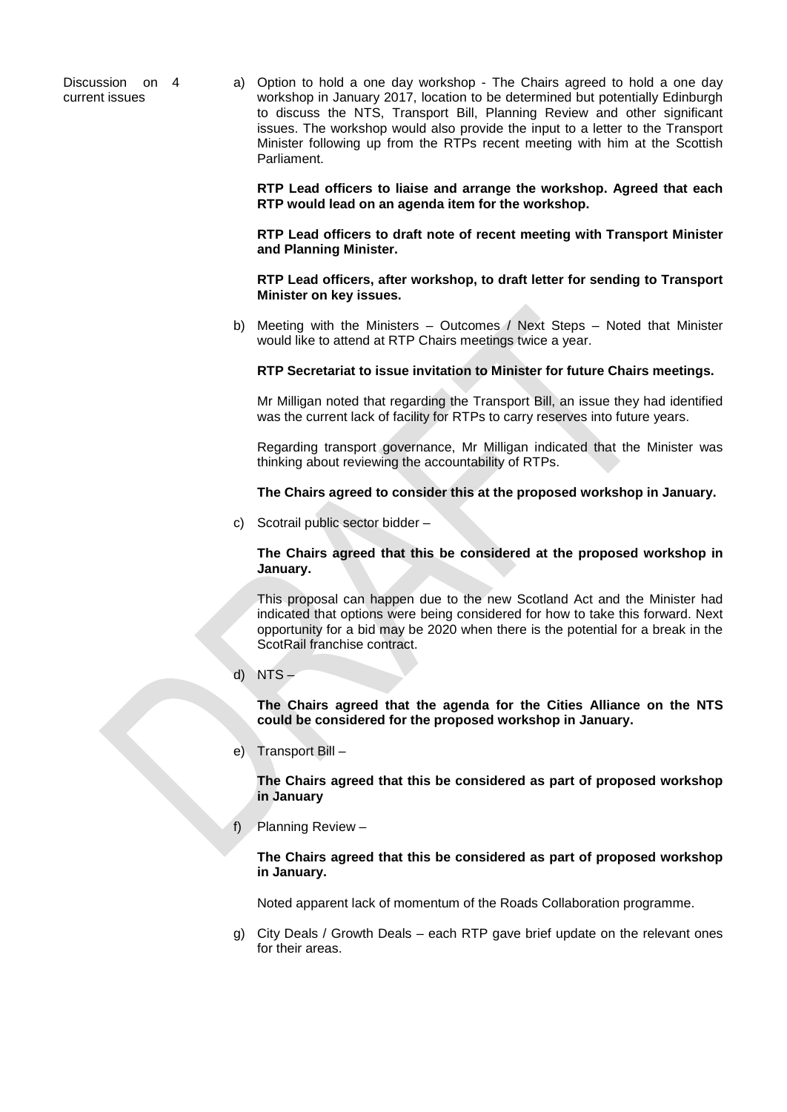Discussion on 4 current issues

a) Option to hold a one day workshop - The Chairs agreed to hold a one day workshop in January 2017, location to be determined but potentially Edinburgh to discuss the NTS, Transport Bill, Planning Review and other significant issues. The workshop would also provide the input to a letter to the Transport Minister following up from the RTPs recent meeting with him at the Scottish Parliament.

**RTP Lead officers to liaise and arrange the workshop. Agreed that each RTP would lead on an agenda item for the workshop.** 

**RTP Lead officers to draft note of recent meeting with Transport Minister and Planning Minister.** 

**RTP Lead officers, after workshop, to draft letter for sending to Transport Minister on key issues.** 

b) Meeting with the Ministers – Outcomes / Next Steps – Noted that Minister would like to attend at RTP Chairs meetings twice a year.

**RTP Secretariat to issue invitation to Minister for future Chairs meetings.** 

Mr Milligan noted that regarding the Transport Bill, an issue they had identified was the current lack of facility for RTPs to carry reserves into future years.

Regarding transport governance, Mr Milligan indicated that the Minister was thinking about reviewing the accountability of RTPs.

**The Chairs agreed to consider this at the proposed workshop in January.** 

c) Scotrail public sector bidder –

**The Chairs agreed that this be considered at the proposed workshop in January.** 

This proposal can happen due to the new Scotland Act and the Minister had indicated that options were being considered for how to take this forward. Next opportunity for a bid may be 2020 when there is the potential for a break in the ScotRail franchise contract.

d)  $NTS -$ 

**The Chairs agreed that the agenda for the Cities Alliance on the NTS could be considered for the proposed workshop in January.** 

e) Transport Bill –

**The Chairs agreed that this be considered as part of proposed workshop in January**

f) Planning Review –

**The Chairs agreed that this be considered as part of proposed workshop in January.** 

Noted apparent lack of momentum of the Roads Collaboration programme.

g) City Deals / Growth Deals – each RTP gave brief update on the relevant ones for their areas.